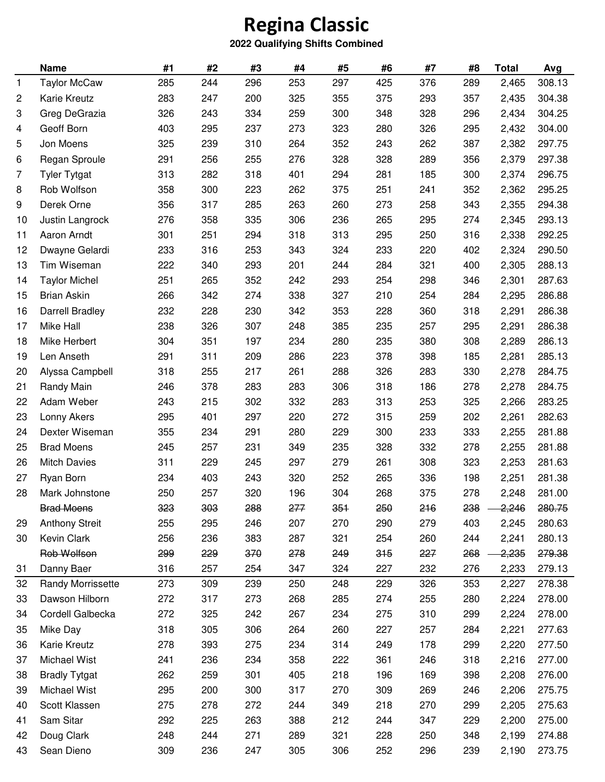## **Regina Classic**

## **2022 Qualifying Shifts Combined**

| 244<br>253<br>297<br>425<br>308.13<br><b>Taylor McCaw</b><br>285<br>296<br>376<br>289<br>2,465<br>1<br>2<br><b>Karie Kreutz</b><br>283<br>247<br>200<br>325<br>355<br>375<br>293<br>2,435<br>304.38<br>357<br>3<br>326<br>243<br>334<br>259<br>300<br>348<br>328<br>304.25<br>Greg DeGrazia<br>296<br>2,434<br>Geoff Born<br>403<br>237<br>273<br>323<br>280<br>326<br>304.00<br>295<br>295<br>2,432<br>4<br>5<br>Jon Moens<br>325<br>239<br>310<br>264<br>352<br>243<br>262<br>387<br>297.75<br>2,382<br>6<br>291<br>256<br>255<br>276<br>328<br>328<br>289<br>356<br>2,379<br>297.38<br>Regan Sproule<br>313<br>282<br>318<br>401<br>294<br>281<br>2,374<br>296.75<br>7<br><b>Tyler Tytgat</b><br>185<br>300<br>Rob Wolfson<br>358<br>300<br>223<br>262<br>375<br>251<br>241<br>352<br>2,362<br>295.25<br>8<br>9<br>Derek Orne<br>356<br>317<br>285<br>263<br>260<br>273<br>258<br>2,355<br>294.38<br>343<br>276<br>358<br>335<br>306<br>236<br>265<br>295<br>293.13<br>10<br>Justin Langrock<br>274<br>2,345<br>Aaron Arndt<br>301<br>251<br>318<br>313<br>295<br>250<br>2,338<br>292.25<br>11<br>294<br>316<br>233<br>316<br>253<br>343<br>324<br>233<br>220<br>402<br>290.50<br>12<br>Dwayne Gelardi<br>2,324<br>288.13<br>Tim Wiseman<br>222<br>340<br>293<br>201<br>244<br>284<br>321<br>400<br>13<br>2,305<br>251<br>352<br>242<br>293<br>254<br>298<br>287.63<br>14<br><b>Taylor Michel</b><br>265<br>346<br>2,301<br>327<br><b>Brian Askin</b><br>266<br>342<br>274<br>338<br>210<br>254<br>2,295<br>286.88<br>15<br>284<br>Darrell Bradley<br>232<br>228<br>230<br>342<br>353<br>228<br>360<br>286.38<br>16<br>318<br>2,291<br><b>Mike Hall</b><br>238<br>326<br>307<br>248<br>385<br>235<br>257<br>286.38<br>17<br>295<br>2,291<br>235<br>304<br>351<br>197<br>234<br>280<br>380<br>308<br>2,289<br>286.13<br>18<br>Mike Herbert<br>Len Anseth<br>291<br>311<br>209<br>286<br>223<br>378<br>398<br>185<br>285.13<br>19<br>2,281<br>318<br>255<br>217<br>261<br>288<br>326<br>283<br>330<br>284.75<br>20<br>Alyssa Campbell<br>2,278<br>318<br>21<br>246<br>378<br>283<br>283<br>306<br>186<br>284.75<br>Randy Main<br>278<br>2,278<br>313<br>Adam Weber<br>243<br>215<br>302<br>332<br>283<br>253<br>325<br>283.25<br>22<br>2,266<br>Lonny Akers<br>295<br>297<br>220<br>272<br>315<br>282.63<br>23<br>401<br>259<br>202<br>2,261<br>Dexter Wiseman<br>355<br>234<br>291<br>280<br>229<br>300<br>233<br>333<br>281.88<br>24<br>2,255<br><b>Brad Moens</b><br>245<br>231<br>235<br>328<br>332<br>278<br>2,255<br>281.88<br>25<br>257<br>349<br>261<br>311<br>229<br>245<br>297<br>279<br>308<br>323<br>281.63<br>26<br><b>Mitch Davies</b><br>2,253<br>234<br>243<br>320<br>252<br>265<br>336<br>2,251<br>281.38<br>403<br>198 |                 |
|-------------------------------------------------------------------------------------------------------------------------------------------------------------------------------------------------------------------------------------------------------------------------------------------------------------------------------------------------------------------------------------------------------------------------------------------------------------------------------------------------------------------------------------------------------------------------------------------------------------------------------------------------------------------------------------------------------------------------------------------------------------------------------------------------------------------------------------------------------------------------------------------------------------------------------------------------------------------------------------------------------------------------------------------------------------------------------------------------------------------------------------------------------------------------------------------------------------------------------------------------------------------------------------------------------------------------------------------------------------------------------------------------------------------------------------------------------------------------------------------------------------------------------------------------------------------------------------------------------------------------------------------------------------------------------------------------------------------------------------------------------------------------------------------------------------------------------------------------------------------------------------------------------------------------------------------------------------------------------------------------------------------------------------------------------------------------------------------------------------------------------------------------------------------------------------------------------------------------------------------------------------------------------------------------------------------------------------------------------------------------------------------------------------------------------------------------------------------------------------------------------------------------------------------------------------------------------------------------------------------------------------------------------------------------------------------------------------------------------------------|-----------------|
|                                                                                                                                                                                                                                                                                                                                                                                                                                                                                                                                                                                                                                                                                                                                                                                                                                                                                                                                                                                                                                                                                                                                                                                                                                                                                                                                                                                                                                                                                                                                                                                                                                                                                                                                                                                                                                                                                                                                                                                                                                                                                                                                                                                                                                                                                                                                                                                                                                                                                                                                                                                                                                                                                                                                           |                 |
|                                                                                                                                                                                                                                                                                                                                                                                                                                                                                                                                                                                                                                                                                                                                                                                                                                                                                                                                                                                                                                                                                                                                                                                                                                                                                                                                                                                                                                                                                                                                                                                                                                                                                                                                                                                                                                                                                                                                                                                                                                                                                                                                                                                                                                                                                                                                                                                                                                                                                                                                                                                                                                                                                                                                           |                 |
|                                                                                                                                                                                                                                                                                                                                                                                                                                                                                                                                                                                                                                                                                                                                                                                                                                                                                                                                                                                                                                                                                                                                                                                                                                                                                                                                                                                                                                                                                                                                                                                                                                                                                                                                                                                                                                                                                                                                                                                                                                                                                                                                                                                                                                                                                                                                                                                                                                                                                                                                                                                                                                                                                                                                           |                 |
|                                                                                                                                                                                                                                                                                                                                                                                                                                                                                                                                                                                                                                                                                                                                                                                                                                                                                                                                                                                                                                                                                                                                                                                                                                                                                                                                                                                                                                                                                                                                                                                                                                                                                                                                                                                                                                                                                                                                                                                                                                                                                                                                                                                                                                                                                                                                                                                                                                                                                                                                                                                                                                                                                                                                           |                 |
|                                                                                                                                                                                                                                                                                                                                                                                                                                                                                                                                                                                                                                                                                                                                                                                                                                                                                                                                                                                                                                                                                                                                                                                                                                                                                                                                                                                                                                                                                                                                                                                                                                                                                                                                                                                                                                                                                                                                                                                                                                                                                                                                                                                                                                                                                                                                                                                                                                                                                                                                                                                                                                                                                                                                           |                 |
|                                                                                                                                                                                                                                                                                                                                                                                                                                                                                                                                                                                                                                                                                                                                                                                                                                                                                                                                                                                                                                                                                                                                                                                                                                                                                                                                                                                                                                                                                                                                                                                                                                                                                                                                                                                                                                                                                                                                                                                                                                                                                                                                                                                                                                                                                                                                                                                                                                                                                                                                                                                                                                                                                                                                           |                 |
|                                                                                                                                                                                                                                                                                                                                                                                                                                                                                                                                                                                                                                                                                                                                                                                                                                                                                                                                                                                                                                                                                                                                                                                                                                                                                                                                                                                                                                                                                                                                                                                                                                                                                                                                                                                                                                                                                                                                                                                                                                                                                                                                                                                                                                                                                                                                                                                                                                                                                                                                                                                                                                                                                                                                           |                 |
|                                                                                                                                                                                                                                                                                                                                                                                                                                                                                                                                                                                                                                                                                                                                                                                                                                                                                                                                                                                                                                                                                                                                                                                                                                                                                                                                                                                                                                                                                                                                                                                                                                                                                                                                                                                                                                                                                                                                                                                                                                                                                                                                                                                                                                                                                                                                                                                                                                                                                                                                                                                                                                                                                                                                           |                 |
|                                                                                                                                                                                                                                                                                                                                                                                                                                                                                                                                                                                                                                                                                                                                                                                                                                                                                                                                                                                                                                                                                                                                                                                                                                                                                                                                                                                                                                                                                                                                                                                                                                                                                                                                                                                                                                                                                                                                                                                                                                                                                                                                                                                                                                                                                                                                                                                                                                                                                                                                                                                                                                                                                                                                           |                 |
|                                                                                                                                                                                                                                                                                                                                                                                                                                                                                                                                                                                                                                                                                                                                                                                                                                                                                                                                                                                                                                                                                                                                                                                                                                                                                                                                                                                                                                                                                                                                                                                                                                                                                                                                                                                                                                                                                                                                                                                                                                                                                                                                                                                                                                                                                                                                                                                                                                                                                                                                                                                                                                                                                                                                           |                 |
|                                                                                                                                                                                                                                                                                                                                                                                                                                                                                                                                                                                                                                                                                                                                                                                                                                                                                                                                                                                                                                                                                                                                                                                                                                                                                                                                                                                                                                                                                                                                                                                                                                                                                                                                                                                                                                                                                                                                                                                                                                                                                                                                                                                                                                                                                                                                                                                                                                                                                                                                                                                                                                                                                                                                           |                 |
|                                                                                                                                                                                                                                                                                                                                                                                                                                                                                                                                                                                                                                                                                                                                                                                                                                                                                                                                                                                                                                                                                                                                                                                                                                                                                                                                                                                                                                                                                                                                                                                                                                                                                                                                                                                                                                                                                                                                                                                                                                                                                                                                                                                                                                                                                                                                                                                                                                                                                                                                                                                                                                                                                                                                           |                 |
|                                                                                                                                                                                                                                                                                                                                                                                                                                                                                                                                                                                                                                                                                                                                                                                                                                                                                                                                                                                                                                                                                                                                                                                                                                                                                                                                                                                                                                                                                                                                                                                                                                                                                                                                                                                                                                                                                                                                                                                                                                                                                                                                                                                                                                                                                                                                                                                                                                                                                                                                                                                                                                                                                                                                           |                 |
|                                                                                                                                                                                                                                                                                                                                                                                                                                                                                                                                                                                                                                                                                                                                                                                                                                                                                                                                                                                                                                                                                                                                                                                                                                                                                                                                                                                                                                                                                                                                                                                                                                                                                                                                                                                                                                                                                                                                                                                                                                                                                                                                                                                                                                                                                                                                                                                                                                                                                                                                                                                                                                                                                                                                           |                 |
|                                                                                                                                                                                                                                                                                                                                                                                                                                                                                                                                                                                                                                                                                                                                                                                                                                                                                                                                                                                                                                                                                                                                                                                                                                                                                                                                                                                                                                                                                                                                                                                                                                                                                                                                                                                                                                                                                                                                                                                                                                                                                                                                                                                                                                                                                                                                                                                                                                                                                                                                                                                                                                                                                                                                           |                 |
|                                                                                                                                                                                                                                                                                                                                                                                                                                                                                                                                                                                                                                                                                                                                                                                                                                                                                                                                                                                                                                                                                                                                                                                                                                                                                                                                                                                                                                                                                                                                                                                                                                                                                                                                                                                                                                                                                                                                                                                                                                                                                                                                                                                                                                                                                                                                                                                                                                                                                                                                                                                                                                                                                                                                           |                 |
|                                                                                                                                                                                                                                                                                                                                                                                                                                                                                                                                                                                                                                                                                                                                                                                                                                                                                                                                                                                                                                                                                                                                                                                                                                                                                                                                                                                                                                                                                                                                                                                                                                                                                                                                                                                                                                                                                                                                                                                                                                                                                                                                                                                                                                                                                                                                                                                                                                                                                                                                                                                                                                                                                                                                           |                 |
|                                                                                                                                                                                                                                                                                                                                                                                                                                                                                                                                                                                                                                                                                                                                                                                                                                                                                                                                                                                                                                                                                                                                                                                                                                                                                                                                                                                                                                                                                                                                                                                                                                                                                                                                                                                                                                                                                                                                                                                                                                                                                                                                                                                                                                                                                                                                                                                                                                                                                                                                                                                                                                                                                                                                           |                 |
|                                                                                                                                                                                                                                                                                                                                                                                                                                                                                                                                                                                                                                                                                                                                                                                                                                                                                                                                                                                                                                                                                                                                                                                                                                                                                                                                                                                                                                                                                                                                                                                                                                                                                                                                                                                                                                                                                                                                                                                                                                                                                                                                                                                                                                                                                                                                                                                                                                                                                                                                                                                                                                                                                                                                           |                 |
|                                                                                                                                                                                                                                                                                                                                                                                                                                                                                                                                                                                                                                                                                                                                                                                                                                                                                                                                                                                                                                                                                                                                                                                                                                                                                                                                                                                                                                                                                                                                                                                                                                                                                                                                                                                                                                                                                                                                                                                                                                                                                                                                                                                                                                                                                                                                                                                                                                                                                                                                                                                                                                                                                                                                           |                 |
|                                                                                                                                                                                                                                                                                                                                                                                                                                                                                                                                                                                                                                                                                                                                                                                                                                                                                                                                                                                                                                                                                                                                                                                                                                                                                                                                                                                                                                                                                                                                                                                                                                                                                                                                                                                                                                                                                                                                                                                                                                                                                                                                                                                                                                                                                                                                                                                                                                                                                                                                                                                                                                                                                                                                           |                 |
|                                                                                                                                                                                                                                                                                                                                                                                                                                                                                                                                                                                                                                                                                                                                                                                                                                                                                                                                                                                                                                                                                                                                                                                                                                                                                                                                                                                                                                                                                                                                                                                                                                                                                                                                                                                                                                                                                                                                                                                                                                                                                                                                                                                                                                                                                                                                                                                                                                                                                                                                                                                                                                                                                                                                           |                 |
|                                                                                                                                                                                                                                                                                                                                                                                                                                                                                                                                                                                                                                                                                                                                                                                                                                                                                                                                                                                                                                                                                                                                                                                                                                                                                                                                                                                                                                                                                                                                                                                                                                                                                                                                                                                                                                                                                                                                                                                                                                                                                                                                                                                                                                                                                                                                                                                                                                                                                                                                                                                                                                                                                                                                           |                 |
|                                                                                                                                                                                                                                                                                                                                                                                                                                                                                                                                                                                                                                                                                                                                                                                                                                                                                                                                                                                                                                                                                                                                                                                                                                                                                                                                                                                                                                                                                                                                                                                                                                                                                                                                                                                                                                                                                                                                                                                                                                                                                                                                                                                                                                                                                                                                                                                                                                                                                                                                                                                                                                                                                                                                           |                 |
|                                                                                                                                                                                                                                                                                                                                                                                                                                                                                                                                                                                                                                                                                                                                                                                                                                                                                                                                                                                                                                                                                                                                                                                                                                                                                                                                                                                                                                                                                                                                                                                                                                                                                                                                                                                                                                                                                                                                                                                                                                                                                                                                                                                                                                                                                                                                                                                                                                                                                                                                                                                                                                                                                                                                           |                 |
|                                                                                                                                                                                                                                                                                                                                                                                                                                                                                                                                                                                                                                                                                                                                                                                                                                                                                                                                                                                                                                                                                                                                                                                                                                                                                                                                                                                                                                                                                                                                                                                                                                                                                                                                                                                                                                                                                                                                                                                                                                                                                                                                                                                                                                                                                                                                                                                                                                                                                                                                                                                                                                                                                                                                           |                 |
|                                                                                                                                                                                                                                                                                                                                                                                                                                                                                                                                                                                                                                                                                                                                                                                                                                                                                                                                                                                                                                                                                                                                                                                                                                                                                                                                                                                                                                                                                                                                                                                                                                                                                                                                                                                                                                                                                                                                                                                                                                                                                                                                                                                                                                                                                                                                                                                                                                                                                                                                                                                                                                                                                                                                           | Ryan Born<br>27 |
| 257<br>320<br>196<br>304<br>268<br>375<br>278<br>281.00<br>28<br>Mark Johnstone<br>250<br>2,248                                                                                                                                                                                                                                                                                                                                                                                                                                                                                                                                                                                                                                                                                                                                                                                                                                                                                                                                                                                                                                                                                                                                                                                                                                                                                                                                                                                                                                                                                                                                                                                                                                                                                                                                                                                                                                                                                                                                                                                                                                                                                                                                                                                                                                                                                                                                                                                                                                                                                                                                                                                                                                           |                 |
| <b>Brad Moens</b><br>323<br>303<br>288<br>277<br>351<br>250<br>216<br>238<br>2,246<br>280.75                                                                                                                                                                                                                                                                                                                                                                                                                                                                                                                                                                                                                                                                                                                                                                                                                                                                                                                                                                                                                                                                                                                                                                                                                                                                                                                                                                                                                                                                                                                                                                                                                                                                                                                                                                                                                                                                                                                                                                                                                                                                                                                                                                                                                                                                                                                                                                                                                                                                                                                                                                                                                                              |                 |
| 255<br>280.63<br>295<br>246<br>207<br>270<br>290<br>279<br>403<br>2,245<br>29<br><b>Anthony Streit</b>                                                                                                                                                                                                                                                                                                                                                                                                                                                                                                                                                                                                                                                                                                                                                                                                                                                                                                                                                                                                                                                                                                                                                                                                                                                                                                                                                                                                                                                                                                                                                                                                                                                                                                                                                                                                                                                                                                                                                                                                                                                                                                                                                                                                                                                                                                                                                                                                                                                                                                                                                                                                                                    |                 |
| Kevin Clark<br>256<br>287<br>321<br>254<br>2,241<br>280.13<br>236<br>383<br>260<br>244<br>30                                                                                                                                                                                                                                                                                                                                                                                                                                                                                                                                                                                                                                                                                                                                                                                                                                                                                                                                                                                                                                                                                                                                                                                                                                                                                                                                                                                                                                                                                                                                                                                                                                                                                                                                                                                                                                                                                                                                                                                                                                                                                                                                                                                                                                                                                                                                                                                                                                                                                                                                                                                                                                              |                 |
| Rob Wolfson<br>299<br>249<br>315<br>279.38<br>229<br>370<br>278<br>227<br>268<br>2,235                                                                                                                                                                                                                                                                                                                                                                                                                                                                                                                                                                                                                                                                                                                                                                                                                                                                                                                                                                                                                                                                                                                                                                                                                                                                                                                                                                                                                                                                                                                                                                                                                                                                                                                                                                                                                                                                                                                                                                                                                                                                                                                                                                                                                                                                                                                                                                                                                                                                                                                                                                                                                                                    |                 |
| 316<br>257<br>254<br>347<br>324<br>227<br>232<br>276<br>279.13<br>31<br>Danny Baer<br>2,233                                                                                                                                                                                                                                                                                                                                                                                                                                                                                                                                                                                                                                                                                                                                                                                                                                                                                                                                                                                                                                                                                                                                                                                                                                                                                                                                                                                                                                                                                                                                                                                                                                                                                                                                                                                                                                                                                                                                                                                                                                                                                                                                                                                                                                                                                                                                                                                                                                                                                                                                                                                                                                               |                 |
| 278.38<br>32<br><b>Randy Morrissette</b><br>273<br>309<br>239<br>250<br>248<br>229<br>326<br>353<br>2,227                                                                                                                                                                                                                                                                                                                                                                                                                                                                                                                                                                                                                                                                                                                                                                                                                                                                                                                                                                                                                                                                                                                                                                                                                                                                                                                                                                                                                                                                                                                                                                                                                                                                                                                                                                                                                                                                                                                                                                                                                                                                                                                                                                                                                                                                                                                                                                                                                                                                                                                                                                                                                                 |                 |
| Dawson Hilborn<br>272<br>317<br>268<br>285<br>274<br>255<br>278.00<br>33<br>273<br>280<br>2,224                                                                                                                                                                                                                                                                                                                                                                                                                                                                                                                                                                                                                                                                                                                                                                                                                                                                                                                                                                                                                                                                                                                                                                                                                                                                                                                                                                                                                                                                                                                                                                                                                                                                                                                                                                                                                                                                                                                                                                                                                                                                                                                                                                                                                                                                                                                                                                                                                                                                                                                                                                                                                                           |                 |
| Cordell Galbecka<br>272<br>267<br>234<br>275<br>310<br>278.00<br>34<br>325<br>242<br>299<br>2,224                                                                                                                                                                                                                                                                                                                                                                                                                                                                                                                                                                                                                                                                                                                                                                                                                                                                                                                                                                                                                                                                                                                                                                                                                                                                                                                                                                                                                                                                                                                                                                                                                                                                                                                                                                                                                                                                                                                                                                                                                                                                                                                                                                                                                                                                                                                                                                                                                                                                                                                                                                                                                                         |                 |
| 318<br>305<br>306<br>260<br>227<br>Mike Day<br>264<br>257<br>284<br>2,221<br>277.63<br>35                                                                                                                                                                                                                                                                                                                                                                                                                                                                                                                                                                                                                                                                                                                                                                                                                                                                                                                                                                                                                                                                                                                                                                                                                                                                                                                                                                                                                                                                                                                                                                                                                                                                                                                                                                                                                                                                                                                                                                                                                                                                                                                                                                                                                                                                                                                                                                                                                                                                                                                                                                                                                                                 |                 |
| Karie Kreutz<br>278<br>393<br>314<br>249<br>178<br>275<br>234<br>299<br>2,220<br>277.50<br>36                                                                                                                                                                                                                                                                                                                                                                                                                                                                                                                                                                                                                                                                                                                                                                                                                                                                                                                                                                                                                                                                                                                                                                                                                                                                                                                                                                                                                                                                                                                                                                                                                                                                                                                                                                                                                                                                                                                                                                                                                                                                                                                                                                                                                                                                                                                                                                                                                                                                                                                                                                                                                                             |                 |
| 241<br>234<br>358<br>222<br>361<br>246<br>318<br>Michael Wist<br>236<br>2,216<br>277.00<br>37                                                                                                                                                                                                                                                                                                                                                                                                                                                                                                                                                                                                                                                                                                                                                                                                                                                                                                                                                                                                                                                                                                                                                                                                                                                                                                                                                                                                                                                                                                                                                                                                                                                                                                                                                                                                                                                                                                                                                                                                                                                                                                                                                                                                                                                                                                                                                                                                                                                                                                                                                                                                                                             |                 |
| 262<br>405<br>218<br>196<br>276.00<br>38<br><b>Bradly Tytgat</b><br>259<br>301<br>169<br>398<br>2,208                                                                                                                                                                                                                                                                                                                                                                                                                                                                                                                                                                                                                                                                                                                                                                                                                                                                                                                                                                                                                                                                                                                                                                                                                                                                                                                                                                                                                                                                                                                                                                                                                                                                                                                                                                                                                                                                                                                                                                                                                                                                                                                                                                                                                                                                                                                                                                                                                                                                                                                                                                                                                                     |                 |
| 295<br>270<br>309<br>39<br>Michael Wist<br>200<br>300<br>317<br>269<br>246<br>2,206<br>275.75                                                                                                                                                                                                                                                                                                                                                                                                                                                                                                                                                                                                                                                                                                                                                                                                                                                                                                                                                                                                                                                                                                                                                                                                                                                                                                                                                                                                                                                                                                                                                                                                                                                                                                                                                                                                                                                                                                                                                                                                                                                                                                                                                                                                                                                                                                                                                                                                                                                                                                                                                                                                                                             |                 |
| 218<br>Scott Klassen<br>275<br>278<br>272<br>349<br>270<br>275.63<br>40<br>244<br>299<br>2,205                                                                                                                                                                                                                                                                                                                                                                                                                                                                                                                                                                                                                                                                                                                                                                                                                                                                                                                                                                                                                                                                                                                                                                                                                                                                                                                                                                                                                                                                                                                                                                                                                                                                                                                                                                                                                                                                                                                                                                                                                                                                                                                                                                                                                                                                                                                                                                                                                                                                                                                                                                                                                                            |                 |
| Sam Sitar<br>292<br>263<br>388<br>212<br>244<br>275.00<br>225<br>347<br>229<br>2,200<br>41                                                                                                                                                                                                                                                                                                                                                                                                                                                                                                                                                                                                                                                                                                                                                                                                                                                                                                                                                                                                                                                                                                                                                                                                                                                                                                                                                                                                                                                                                                                                                                                                                                                                                                                                                                                                                                                                                                                                                                                                                                                                                                                                                                                                                                                                                                                                                                                                                                                                                                                                                                                                                                                |                 |
| Doug Clark<br>248<br>289<br>321<br>228<br>42<br>244<br>271<br>250<br>348<br>2,199<br>274.88                                                                                                                                                                                                                                                                                                                                                                                                                                                                                                                                                                                                                                                                                                                                                                                                                                                                                                                                                                                                                                                                                                                                                                                                                                                                                                                                                                                                                                                                                                                                                                                                                                                                                                                                                                                                                                                                                                                                                                                                                                                                                                                                                                                                                                                                                                                                                                                                                                                                                                                                                                                                                                               |                 |
| Sean Dieno<br>309<br>236<br>247<br>305<br>306<br>252<br>296<br>239<br>273.75<br>43<br>2,190                                                                                                                                                                                                                                                                                                                                                                                                                                                                                                                                                                                                                                                                                                                                                                                                                                                                                                                                                                                                                                                                                                                                                                                                                                                                                                                                                                                                                                                                                                                                                                                                                                                                                                                                                                                                                                                                                                                                                                                                                                                                                                                                                                                                                                                                                                                                                                                                                                                                                                                                                                                                                                               |                 |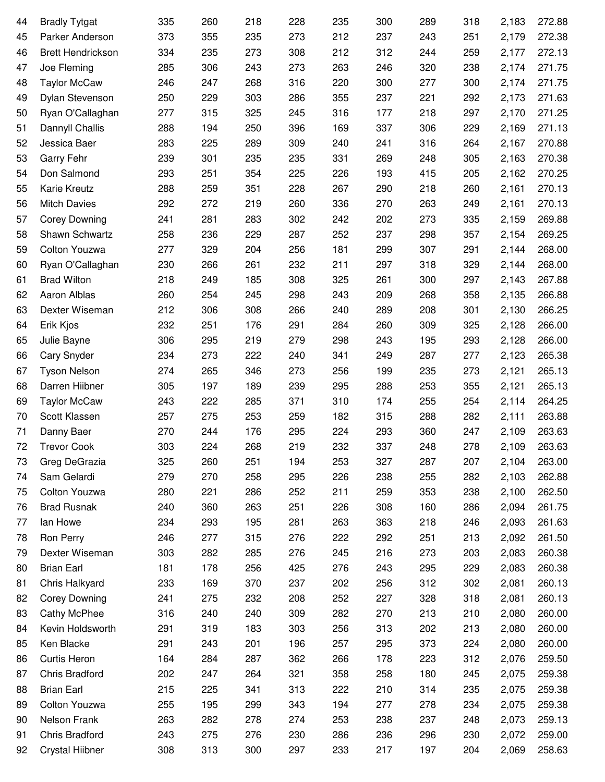| 44 | <b>Bradly Tytgat</b>     | 335 | 260 | 218 | 228 | 235 | 300 | 289 | 318 | 2,183 | 272.88 |
|----|--------------------------|-----|-----|-----|-----|-----|-----|-----|-----|-------|--------|
| 45 | Parker Anderson          | 373 | 355 | 235 | 273 | 212 | 237 | 243 | 251 | 2,179 | 272.38 |
| 46 | <b>Brett Hendrickson</b> | 334 | 235 | 273 | 308 | 212 | 312 | 244 | 259 | 2,177 | 272.13 |
| 47 | Joe Fleming              | 285 | 306 | 243 | 273 | 263 | 246 | 320 | 238 | 2,174 | 271.75 |
| 48 | <b>Taylor McCaw</b>      | 246 | 247 | 268 | 316 | 220 | 300 | 277 | 300 | 2,174 | 271.75 |
| 49 | Dylan Stevenson          | 250 | 229 | 303 | 286 | 355 | 237 | 221 | 292 | 2,173 | 271.63 |
| 50 | Ryan O'Callaghan         | 277 | 315 | 325 | 245 | 316 | 177 | 218 | 297 | 2,170 | 271.25 |
| 51 | Dannyll Challis          | 288 | 194 | 250 | 396 | 169 | 337 | 306 | 229 | 2,169 | 271.13 |
| 52 | Jessica Baer             | 283 | 225 | 289 | 309 | 240 | 241 | 316 | 264 | 2,167 | 270.88 |
| 53 | Garry Fehr               | 239 | 301 | 235 | 235 | 331 | 269 | 248 | 305 | 2,163 | 270.38 |
| 54 | Don Salmond              | 293 | 251 | 354 | 225 | 226 | 193 | 415 | 205 | 2,162 | 270.25 |
| 55 | Karie Kreutz             | 288 | 259 | 351 | 228 | 267 | 290 | 218 | 260 | 2,161 | 270.13 |
| 56 | <b>Mitch Davies</b>      | 292 | 272 | 219 | 260 | 336 | 270 | 263 | 249 | 2,161 | 270.13 |
| 57 | <b>Corey Downing</b>     | 241 | 281 | 283 | 302 | 242 | 202 | 273 | 335 | 2,159 | 269.88 |
| 58 | Shawn Schwartz           | 258 | 236 | 229 | 287 | 252 | 237 | 298 | 357 | 2,154 | 269.25 |
| 59 | Colton Youzwa            | 277 | 329 | 204 | 256 | 181 | 299 | 307 | 291 | 2,144 | 268.00 |
| 60 | Ryan O'Callaghan         | 230 | 266 | 261 | 232 | 211 | 297 | 318 | 329 | 2,144 | 268.00 |
| 61 | <b>Brad Wilton</b>       | 218 | 249 | 185 | 308 | 325 | 261 | 300 | 297 | 2,143 | 267.88 |
| 62 | Aaron Alblas             | 260 | 254 | 245 | 298 | 243 | 209 | 268 | 358 | 2,135 | 266.88 |
| 63 | Dexter Wiseman           | 212 | 306 | 308 | 266 | 240 | 289 | 208 | 301 | 2,130 | 266.25 |
| 64 | Erik Kjos                | 232 | 251 | 176 | 291 | 284 | 260 | 309 | 325 | 2,128 | 266.00 |
| 65 | Julie Bayne              | 306 | 295 | 219 | 279 | 298 | 243 | 195 | 293 | 2,128 | 266.00 |
| 66 | Cary Snyder              | 234 | 273 | 222 | 240 | 341 | 249 | 287 | 277 | 2,123 | 265.38 |
| 67 | <b>Tyson Nelson</b>      | 274 | 265 | 346 | 273 | 256 | 199 | 235 | 273 | 2,121 | 265.13 |
| 68 | Darren Hiibner           | 305 | 197 | 189 | 239 | 295 | 288 | 253 | 355 | 2,121 | 265.13 |
| 69 | <b>Taylor McCaw</b>      | 243 | 222 | 285 | 371 | 310 | 174 | 255 | 254 | 2,114 | 264.25 |
| 70 | Scott Klassen            | 257 | 275 | 253 | 259 | 182 | 315 | 288 | 282 | 2,111 | 263.88 |
| 71 | Danny Baer               | 270 | 244 | 176 | 295 | 224 | 293 | 360 | 247 | 2,109 | 263.63 |
| 72 | <b>Trevor Cook</b>       | 303 | 224 | 268 | 219 | 232 | 337 | 248 | 278 | 2,109 | 263.63 |
| 73 | Greg DeGrazia            | 325 | 260 | 251 | 194 | 253 | 327 | 287 | 207 | 2,104 | 263.00 |
| 74 | Sam Gelardi              | 279 | 270 | 258 | 295 | 226 | 238 | 255 | 282 | 2,103 | 262.88 |
| 75 | Colton Youzwa            | 280 | 221 | 286 | 252 | 211 | 259 | 353 | 238 | 2,100 | 262.50 |
| 76 | <b>Brad Rusnak</b>       | 240 | 360 | 263 | 251 | 226 | 308 | 160 | 286 | 2,094 | 261.75 |
| 77 | lan Howe                 | 234 | 293 | 195 | 281 | 263 | 363 | 218 | 246 | 2,093 | 261.63 |
| 78 | Ron Perry                | 246 | 277 | 315 | 276 | 222 | 292 | 251 | 213 | 2,092 | 261.50 |
| 79 | Dexter Wiseman           | 303 | 282 | 285 | 276 | 245 | 216 | 273 | 203 | 2,083 | 260.38 |
| 80 | <b>Brian Earl</b>        | 181 | 178 | 256 | 425 | 276 | 243 | 295 | 229 | 2,083 | 260.38 |
| 81 | Chris Halkyard           | 233 | 169 | 370 | 237 | 202 | 256 | 312 | 302 | 2,081 | 260.13 |
| 82 | <b>Corey Downing</b>     | 241 | 275 | 232 | 208 | 252 | 227 | 328 | 318 | 2,081 | 260.13 |
| 83 | Cathy McPhee             | 316 | 240 | 240 | 309 | 282 | 270 | 213 | 210 | 2,080 | 260.00 |
| 84 | Kevin Holdsworth         | 291 | 319 | 183 | 303 | 256 | 313 | 202 | 213 | 2,080 | 260.00 |
| 85 | Ken Blacke               | 291 | 243 | 201 | 196 | 257 | 295 | 373 | 224 | 2,080 | 260.00 |
| 86 | Curtis Heron             | 164 | 284 | 287 | 362 | 266 | 178 | 223 | 312 | 2,076 | 259.50 |
| 87 | Chris Bradford           | 202 | 247 | 264 | 321 | 358 | 258 | 180 | 245 | 2,075 | 259.38 |
| 88 | <b>Brian Earl</b>        | 215 | 225 | 341 | 313 | 222 | 210 | 314 | 235 | 2,075 | 259.38 |
| 89 | Colton Youzwa            | 255 | 195 | 299 | 343 | 194 | 277 | 278 | 234 | 2,075 | 259.38 |
| 90 | Nelson Frank             | 263 | 282 | 278 | 274 | 253 | 238 | 237 | 248 | 2,073 | 259.13 |
| 91 | Chris Bradford           | 243 | 275 | 276 | 230 | 286 | 236 | 296 | 230 | 2,072 | 259.00 |
| 92 | Crystal Hiibner          | 308 | 313 | 300 | 297 | 233 | 217 | 197 | 204 | 2,069 | 258.63 |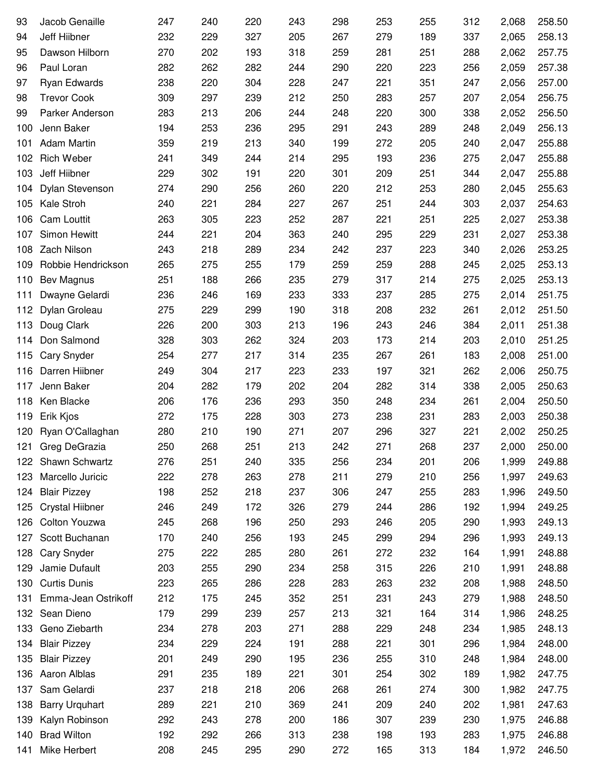| 93  | Jacob Genaille         | 247 | 240 | 220 | 243 | 298 | 253 | 255 | 312 | 2,068 | 258.50 |
|-----|------------------------|-----|-----|-----|-----|-----|-----|-----|-----|-------|--------|
| 94  | Jeff Hiibner           | 232 | 229 | 327 | 205 | 267 | 279 | 189 | 337 | 2,065 | 258.13 |
| 95  | Dawson Hilborn         | 270 | 202 | 193 | 318 | 259 | 281 | 251 | 288 | 2,062 | 257.75 |
| 96  | Paul Loran             | 282 | 262 | 282 | 244 | 290 | 220 | 223 | 256 | 2,059 | 257.38 |
| 97  | Ryan Edwards           | 238 | 220 | 304 | 228 | 247 | 221 | 351 | 247 | 2,056 | 257.00 |
| 98  | <b>Trevor Cook</b>     | 309 | 297 | 239 | 212 | 250 | 283 | 257 | 207 | 2,054 | 256.75 |
| 99  | Parker Anderson        | 283 | 213 | 206 | 244 | 248 | 220 | 300 | 338 | 2,052 | 256.50 |
| 100 | Jenn Baker             | 194 | 253 | 236 | 295 | 291 | 243 | 289 | 248 | 2,049 | 256.13 |
| 101 | <b>Adam Martin</b>     | 359 | 219 | 213 | 340 | 199 | 272 | 205 | 240 | 2,047 | 255.88 |
| 102 | <b>Rich Weber</b>      | 241 | 349 | 244 | 214 | 295 | 193 | 236 | 275 | 2,047 | 255.88 |
| 103 | Jeff Hiibner           | 229 | 302 | 191 | 220 | 301 | 209 | 251 | 344 | 2,047 | 255.88 |
| 104 | Dylan Stevenson        | 274 | 290 | 256 | 260 | 220 | 212 | 253 | 280 | 2,045 | 255.63 |
| 105 | Kale Stroh             | 240 | 221 | 284 | 227 | 267 | 251 | 244 | 303 | 2,037 | 254.63 |
| 106 | <b>Cam Louttit</b>     | 263 | 305 | 223 | 252 | 287 | 221 | 251 | 225 | 2,027 | 253.38 |
| 107 | Simon Hewitt           | 244 | 221 | 204 | 363 | 240 | 295 | 229 | 231 | 2,027 | 253.38 |
| 108 | <b>Zach Nilson</b>     | 243 | 218 | 289 | 234 | 242 | 237 | 223 | 340 | 2,026 | 253.25 |
| 109 | Robbie Hendrickson     | 265 | 275 | 255 | 179 | 259 | 259 | 288 | 245 | 2,025 | 253.13 |
| 110 | Bev Magnus             | 251 | 188 | 266 | 235 | 279 | 317 | 214 | 275 | 2,025 | 253.13 |
| 111 | Dwayne Gelardi         | 236 | 246 | 169 | 233 | 333 | 237 | 285 | 275 | 2,014 | 251.75 |
| 112 | Dylan Groleau          | 275 | 229 | 299 | 190 | 318 | 208 | 232 | 261 | 2,012 | 251.50 |
| 113 | Doug Clark             | 226 | 200 | 303 | 213 | 196 | 243 | 246 | 384 | 2,011 | 251.38 |
| 114 | Don Salmond            | 328 | 303 | 262 | 324 | 203 | 173 | 214 | 203 | 2,010 | 251.25 |
| 115 | <b>Cary Snyder</b>     | 254 | 277 | 217 | 314 | 235 | 267 | 261 | 183 | 2,008 | 251.00 |
| 116 | Darren Hiibner         | 249 | 304 | 217 | 223 | 233 | 197 | 321 | 262 | 2,006 | 250.75 |
| 117 | Jenn Baker             | 204 | 282 | 179 | 202 | 204 | 282 | 314 | 338 | 2,005 | 250.63 |
| 118 | Ken Blacke             | 206 | 176 | 236 | 293 | 350 | 248 | 234 | 261 | 2,004 | 250.50 |
| 119 | Erik Kjos              | 272 | 175 | 228 | 303 | 273 | 238 | 231 | 283 | 2,003 | 250.38 |
| 120 | Ryan O'Callaghan       | 280 | 210 | 190 | 271 | 207 | 296 | 327 | 221 | 2,002 | 250.25 |
| 121 | Greg DeGrazia          | 250 | 268 | 251 | 213 | 242 | 271 | 268 | 237 | 2,000 | 250.00 |
| 122 | Shawn Schwartz         | 276 | 251 | 240 | 335 | 256 | 234 | 201 | 206 | 1,999 | 249.88 |
| 123 | Marcello Juricic       | 222 | 278 | 263 | 278 | 211 | 279 | 210 | 256 | 1,997 | 249.63 |
| 124 | <b>Blair Pizzey</b>    | 198 | 252 | 218 | 237 | 306 | 247 | 255 | 283 | 1,996 | 249.50 |
| 125 | <b>Crystal Hiibner</b> | 246 | 249 | 172 | 326 | 279 | 244 | 286 | 192 | 1,994 | 249.25 |
| 126 | Colton Youzwa          | 245 | 268 | 196 | 250 | 293 | 246 | 205 | 290 | 1,993 | 249.13 |
| 127 | Scott Buchanan         | 170 | 240 | 256 | 193 | 245 | 299 | 294 | 296 | 1,993 | 249.13 |
| 128 | <b>Cary Snyder</b>     | 275 | 222 | 285 | 280 | 261 | 272 | 232 | 164 | 1,991 | 248.88 |
| 129 | Jamie Dufault          | 203 | 255 | 290 | 234 | 258 | 315 | 226 | 210 | 1,991 | 248.88 |
| 130 | <b>Curtis Dunis</b>    | 223 | 265 | 286 | 228 | 283 | 263 | 232 | 208 | 1,988 | 248.50 |
| 131 | Emma-Jean Ostrikoff    | 212 | 175 | 245 | 352 | 251 | 231 | 243 | 279 | 1,988 | 248.50 |
| 132 | Sean Dieno             | 179 | 299 | 239 | 257 | 213 | 321 | 164 | 314 | 1,986 | 248.25 |
| 133 | Geno Ziebarth          | 234 | 278 | 203 | 271 | 288 | 229 | 248 | 234 | 1,985 | 248.13 |
| 134 | <b>Blair Pizzey</b>    | 234 | 229 | 224 | 191 | 288 | 221 | 301 | 296 | 1,984 | 248.00 |
| 135 | <b>Blair Pizzey</b>    | 201 | 249 | 290 | 195 | 236 | 255 | 310 | 248 | 1,984 | 248.00 |
| 136 | Aaron Alblas           | 291 | 235 | 189 | 221 | 301 | 254 | 302 | 189 | 1,982 | 247.75 |
| 137 | Sam Gelardi            | 237 | 218 | 218 | 206 | 268 | 261 | 274 | 300 | 1,982 | 247.75 |
| 138 | <b>Barry Urquhart</b>  | 289 | 221 | 210 | 369 | 241 | 209 | 240 | 202 | 1,981 | 247.63 |
| 139 | Kalyn Robinson         | 292 | 243 | 278 | 200 | 186 | 307 | 239 | 230 | 1,975 | 246.88 |
| 140 | <b>Brad Wilton</b>     | 192 | 292 | 266 | 313 | 238 | 198 | 193 | 283 | 1,975 | 246.88 |
| 141 | Mike Herbert           | 208 | 245 | 295 | 290 | 272 | 165 | 313 | 184 | 1,972 | 246.50 |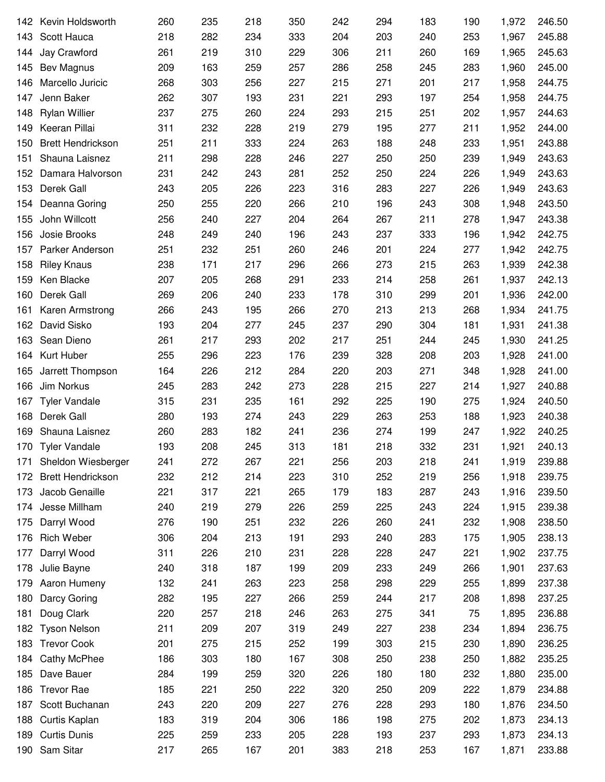| 142 | Kevin Holdsworth         | 260 | 235 | 218 | 350 | 242 | 294 | 183 | 190 | 1,972 | 246.50 |
|-----|--------------------------|-----|-----|-----|-----|-----|-----|-----|-----|-------|--------|
| 143 | Scott Hauca              | 218 | 282 | 234 | 333 | 204 | 203 | 240 | 253 | 1,967 | 245.88 |
| 144 | Jay Crawford             | 261 | 219 | 310 | 229 | 306 | 211 | 260 | 169 | 1,965 | 245.63 |
| 145 | Bev Magnus               | 209 | 163 | 259 | 257 | 286 | 258 | 245 | 283 | 1,960 | 245.00 |
| 146 | Marcello Juricic         | 268 | 303 | 256 | 227 | 215 | 271 | 201 | 217 | 1,958 | 244.75 |
| 147 | Jenn Baker               | 262 | 307 | 193 | 231 | 221 | 293 | 197 | 254 | 1,958 | 244.75 |
| 148 | <b>Rylan Willier</b>     | 237 | 275 | 260 | 224 | 293 | 215 | 251 | 202 | 1,957 | 244.63 |
| 149 | Keeran Pillai            | 311 | 232 | 228 | 219 | 279 | 195 | 277 | 211 | 1,952 | 244.00 |
| 150 | <b>Brett Hendrickson</b> | 251 | 211 | 333 | 224 | 263 | 188 | 248 | 233 | 1,951 | 243.88 |
| 151 | Shauna Laisnez           | 211 | 298 | 228 | 246 | 227 | 250 | 250 | 239 | 1,949 | 243.63 |
| 152 | Damara Halvorson         | 231 | 242 | 243 | 281 | 252 | 250 | 224 | 226 | 1,949 | 243.63 |
| 153 | Derek Gall               | 243 | 205 | 226 | 223 | 316 | 283 | 227 | 226 | 1,949 | 243.63 |
| 154 | Deanna Goring            | 250 | 255 | 220 | 266 | 210 | 196 | 243 | 308 | 1,948 | 243.50 |
| 155 | John Willcott            | 256 | 240 | 227 | 204 | 264 | 267 | 211 | 278 | 1,947 | 243.38 |
| 156 | Josie Brooks             | 248 | 249 | 240 | 196 | 243 | 237 | 333 | 196 | 1,942 | 242.75 |
| 157 | Parker Anderson          | 251 | 232 | 251 | 260 | 246 | 201 | 224 | 277 | 1,942 | 242.75 |
| 158 | <b>Riley Knaus</b>       | 238 | 171 | 217 | 296 | 266 | 273 | 215 | 263 | 1,939 | 242.38 |
| 159 | Ken Blacke               | 207 | 205 | 268 | 291 | 233 | 214 | 258 | 261 | 1,937 | 242.13 |
| 160 | Derek Gall               | 269 | 206 | 240 | 233 | 178 | 310 | 299 | 201 | 1,936 | 242.00 |
| 161 | Karen Armstrong          | 266 | 243 | 195 | 266 | 270 | 213 | 213 | 268 | 1,934 | 241.75 |
| 162 | David Sisko              | 193 | 204 | 277 | 245 | 237 | 290 | 304 | 181 | 1,931 | 241.38 |
| 163 | Sean Dieno               | 261 | 217 | 293 | 202 | 217 | 251 | 244 | 245 | 1,930 | 241.25 |
| 164 | Kurt Huber               | 255 | 296 | 223 | 176 | 239 | 328 | 208 | 203 | 1,928 | 241.00 |
| 165 | Jarrett Thompson         | 164 | 226 | 212 | 284 | 220 | 203 | 271 | 348 | 1,928 | 241.00 |
| 166 | Jim Norkus               | 245 | 283 | 242 | 273 | 228 | 215 | 227 | 214 | 1,927 | 240.88 |
| 167 | <b>Tyler Vandale</b>     | 315 | 231 | 235 | 161 | 292 | 225 | 190 | 275 | 1,924 | 240.50 |
| 168 | Derek Gall               | 280 | 193 | 274 | 243 | 229 | 263 | 253 | 188 | 1,923 | 240.38 |
| 169 | Shauna Laisnez           | 260 | 283 | 182 | 241 | 236 | 274 | 199 | 247 | 1,922 | 240.25 |
| 170 | <b>Tyler Vandale</b>     | 193 | 208 | 245 | 313 | 181 | 218 | 332 | 231 | 1,921 | 240.13 |
| 171 | Sheldon Wiesberger       | 241 | 272 | 267 | 221 | 256 | 203 | 218 | 241 | 1,919 | 239.88 |
| 172 | <b>Brett Hendrickson</b> | 232 | 212 | 214 | 223 | 310 | 252 | 219 | 256 | 1,918 | 239.75 |
| 173 | Jacob Genaille           | 221 | 317 | 221 | 265 | 179 | 183 | 287 | 243 | 1,916 | 239.50 |
| 174 | Jesse Millham            | 240 | 219 | 279 | 226 | 259 | 225 | 243 | 224 | 1,915 | 239.38 |
| 175 | Darryl Wood              | 276 | 190 | 251 | 232 | 226 | 260 | 241 | 232 | 1,908 | 238.50 |
| 176 | <b>Rich Weber</b>        | 306 | 204 | 213 | 191 | 293 | 240 | 283 | 175 | 1,905 | 238.13 |
| 177 | Darryl Wood              | 311 | 226 | 210 | 231 | 228 | 228 | 247 | 221 | 1,902 | 237.75 |
| 178 | Julie Bayne              | 240 | 318 | 187 | 199 | 209 | 233 | 249 | 266 | 1,901 | 237.63 |
| 179 | Aaron Humeny             | 132 | 241 | 263 | 223 | 258 | 298 | 229 | 255 | 1,899 | 237.38 |
| 180 | Darcy Goring             | 282 | 195 | 227 | 266 | 259 | 244 | 217 | 208 | 1,898 | 237.25 |
| 181 | Doug Clark               | 220 | 257 | 218 | 246 | 263 | 275 | 341 | 75  | 1,895 | 236.88 |
| 182 | <b>Tyson Nelson</b>      | 211 | 209 | 207 | 319 | 249 | 227 | 238 | 234 | 1,894 | 236.75 |
| 183 | <b>Trevor Cook</b>       | 201 | 275 | 215 | 252 | 199 | 303 | 215 | 230 | 1,890 | 236.25 |
| 184 | <b>Cathy McPhee</b>      | 186 | 303 | 180 | 167 | 308 | 250 | 238 | 250 | 1,882 | 235.25 |
| 185 | Dave Bauer               | 284 | 199 | 259 | 320 | 226 | 180 | 180 | 232 | 1,880 | 235.00 |
| 186 | <b>Trevor Rae</b>        | 185 | 221 | 250 | 222 | 320 | 250 | 209 | 222 | 1,879 | 234.88 |
| 187 | Scott Buchanan           | 243 | 220 | 209 | 227 | 276 | 228 | 293 | 180 | 1,876 | 234.50 |
| 188 | Curtis Kaplan            | 183 | 319 | 204 | 306 | 186 | 198 | 275 | 202 | 1,873 | 234.13 |
| 189 | <b>Curtis Dunis</b>      | 225 | 259 | 233 | 205 | 228 | 193 | 237 | 293 | 1,873 | 234.13 |
| 190 | Sam Sitar                | 217 | 265 | 167 | 201 | 383 | 218 | 253 | 167 | 1,871 | 233.88 |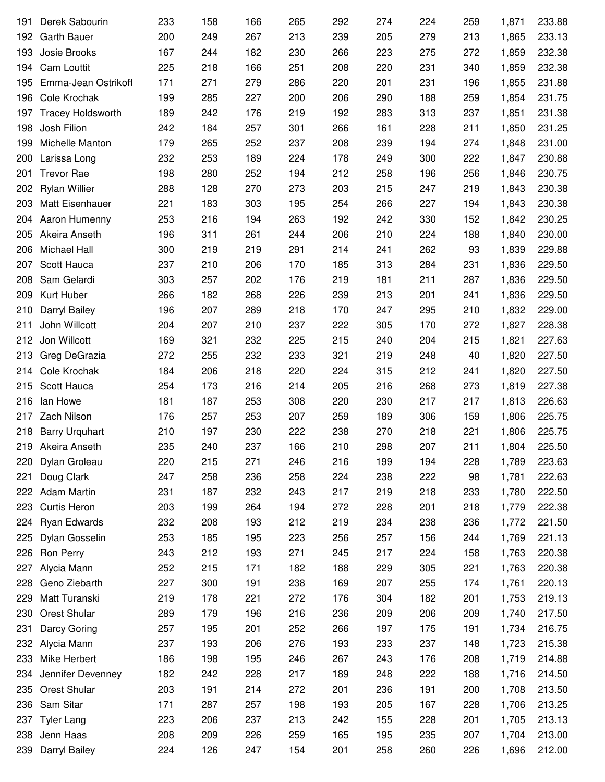| 191 | Derek Sabourin           | 233 | 158 | 166 | 265 | 292 | 274 | 224 | 259 | 1,871 | 233.88 |
|-----|--------------------------|-----|-----|-----|-----|-----|-----|-----|-----|-------|--------|
| 192 | <b>Garth Bauer</b>       | 200 | 249 | 267 | 213 | 239 | 205 | 279 | 213 | 1,865 | 233.13 |
| 193 | Josie Brooks             | 167 | 244 | 182 | 230 | 266 | 223 | 275 | 272 | 1,859 | 232.38 |
| 194 | Cam Louttit              | 225 | 218 | 166 | 251 | 208 | 220 | 231 | 340 | 1,859 | 232.38 |
| 195 | Emma-Jean Ostrikoff      | 171 | 271 | 279 | 286 | 220 | 201 | 231 | 196 | 1,855 | 231.88 |
| 196 | Cole Krochak             | 199 | 285 | 227 | 200 | 206 | 290 | 188 | 259 | 1,854 | 231.75 |
| 197 | <b>Tracey Holdsworth</b> | 189 | 242 | 176 | 219 | 192 | 283 | 313 | 237 | 1,851 | 231.38 |
| 198 | Josh Filion              | 242 | 184 | 257 | 301 | 266 | 161 | 228 | 211 | 1,850 | 231.25 |
| 199 | Michelle Manton          | 179 | 265 | 252 | 237 | 208 | 239 | 194 | 274 | 1,848 | 231.00 |
| 200 | Larissa Long             | 232 | 253 | 189 | 224 | 178 | 249 | 300 | 222 | 1,847 | 230.88 |
| 201 | <b>Trevor Rae</b>        | 198 | 280 | 252 | 194 | 212 | 258 | 196 | 256 | 1,846 | 230.75 |
| 202 | <b>Rylan Willier</b>     | 288 | 128 | 270 | 273 | 203 | 215 | 247 | 219 | 1,843 | 230.38 |
| 203 | Matt Eisenhauer          | 221 | 183 | 303 | 195 | 254 | 266 | 227 | 194 | 1,843 | 230.38 |
| 204 | Aaron Humenny            | 253 | 216 | 194 | 263 | 192 | 242 | 330 | 152 | 1,842 | 230.25 |
| 205 | Akeira Anseth            | 196 | 311 | 261 | 244 | 206 | 210 | 224 | 188 | 1,840 | 230.00 |
| 206 | Michael Hall             | 300 | 219 | 219 | 291 | 214 | 241 | 262 | 93  | 1,839 | 229.88 |
| 207 | Scott Hauca              | 237 | 210 | 206 | 170 | 185 | 313 | 284 | 231 | 1,836 | 229.50 |
| 208 | Sam Gelardi              | 303 | 257 | 202 | 176 | 219 | 181 | 211 | 287 | 1,836 | 229.50 |
| 209 | Kurt Huber               | 266 | 182 | 268 | 226 | 239 | 213 | 201 | 241 | 1,836 | 229.50 |
| 210 | Darryl Bailey            | 196 | 207 | 289 | 218 | 170 | 247 | 295 | 210 | 1,832 | 229.00 |
| 211 | John Willcott            | 204 | 207 | 210 | 237 | 222 | 305 | 170 | 272 | 1,827 | 228.38 |
| 212 | Jon Willcott             | 169 | 321 | 232 | 225 | 215 | 240 | 204 | 215 | 1,821 | 227.63 |
| 213 | Greg DeGrazia            | 272 | 255 | 232 | 233 | 321 | 219 | 248 | 40  | 1,820 | 227.50 |
| 214 | Cole Krochak             | 184 | 206 | 218 | 220 | 224 | 315 | 212 | 241 | 1,820 | 227.50 |
| 215 | Scott Hauca              | 254 | 173 | 216 | 214 | 205 | 216 | 268 | 273 | 1,819 | 227.38 |
| 216 | lan Howe                 | 181 | 187 | 253 | 308 | 220 | 230 | 217 | 217 | 1,813 | 226.63 |
| 217 | Zach Nilson              | 176 | 257 | 253 | 207 | 259 | 189 | 306 | 159 | 1,806 | 225.75 |
| 218 | <b>Barry Urquhart</b>    | 210 | 197 | 230 | 222 | 238 | 270 | 218 | 221 | 1,806 | 225.75 |
|     | 219 Akeira Anseth        | 235 | 240 | 237 | 166 | 210 | 298 | 207 | 211 | 1,804 | 225.50 |
| 220 | Dylan Groleau            | 220 | 215 | 271 | 246 | 216 | 199 | 194 | 228 | 1,789 | 223.63 |
| 221 | Doug Clark               | 247 | 258 | 236 | 258 | 224 | 238 | 222 | 98  | 1,781 | 222.63 |
| 222 | <b>Adam Martin</b>       | 231 | 187 | 232 | 243 | 217 | 219 | 218 | 233 | 1,780 | 222.50 |
| 223 | Curtis Heron             | 203 | 199 | 264 | 194 | 272 | 228 | 201 | 218 | 1,779 | 222.38 |
| 224 | Ryan Edwards             | 232 | 208 | 193 | 212 | 219 | 234 | 238 | 236 | 1,772 | 221.50 |
| 225 | Dylan Gosselin           | 253 | 185 | 195 | 223 | 256 | 257 | 156 | 244 | 1,769 | 221.13 |
| 226 | Ron Perry                | 243 | 212 | 193 | 271 | 245 | 217 | 224 | 158 | 1,763 | 220.38 |
| 227 | Alycia Mann              | 252 | 215 | 171 | 182 | 188 | 229 | 305 | 221 | 1,763 | 220.38 |
| 228 | Geno Ziebarth            | 227 | 300 | 191 | 238 | 169 | 207 | 255 | 174 | 1,761 | 220.13 |
| 229 | Matt Turanski            | 219 | 178 | 221 | 272 | 176 | 304 | 182 | 201 | 1,753 | 219.13 |
| 230 | Orest Shular             | 289 | 179 | 196 | 216 | 236 | 209 | 206 | 209 | 1,740 | 217.50 |
| 231 | Darcy Goring             | 257 | 195 | 201 | 252 | 266 | 197 | 175 | 191 | 1,734 | 216.75 |
| 232 | Alycia Mann              | 237 | 193 | 206 | 276 | 193 | 233 | 237 | 148 | 1,723 | 215.38 |
| 233 | Mike Herbert             | 186 | 198 | 195 | 246 | 267 | 243 | 176 | 208 | 1,719 | 214.88 |
| 234 | Jennifer Devenney        | 182 | 242 | 228 | 217 | 189 | 248 | 222 | 188 | 1,716 | 214.50 |
| 235 | <b>Orest Shular</b>      | 203 | 191 | 214 | 272 | 201 | 236 | 191 | 200 | 1,708 | 213.50 |
| 236 | Sam Sitar                | 171 | 287 | 257 | 198 | 193 | 205 | 167 | 228 | 1,706 | 213.25 |
| 237 | <b>Tyler Lang</b>        | 223 | 206 | 237 | 213 | 242 | 155 | 228 | 201 | 1,705 | 213.13 |
| 238 | Jenn Haas                | 208 | 209 | 226 | 259 | 165 | 195 | 235 | 207 | 1,704 | 213.00 |
| 239 | Darryl Bailey            | 224 | 126 | 247 | 154 | 201 | 258 | 260 | 226 | 1,696 | 212.00 |